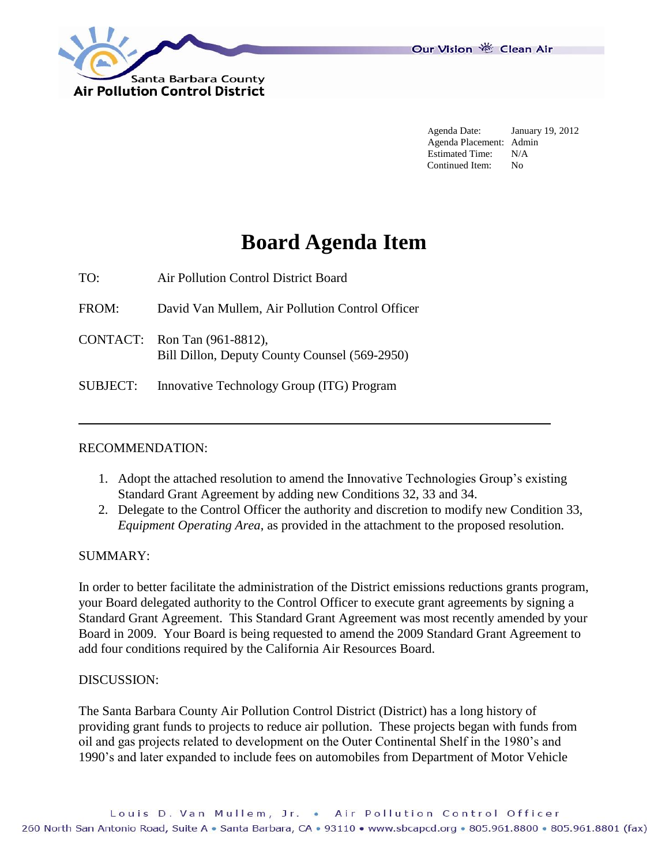

Our Vision 卷 Clean Air

Agenda Date: January 19, 2012 Agenda Placement: Admin Estimated Time: N/A Continued Item: No

# **Board Agenda Item**

TO: Air Pollution Control District Board

FROM: David Van Mullem, Air Pollution Control Officer

CONTACT: Ron Tan (961-8812), Bill Dillon, Deputy County Counsel (569-2950)

SUBJECT: Innovative Technology Group (ITG) Program

## RECOMMENDATION:

- 1. Adopt the attached resolution to amend the Innovative Technologies Group's existing Standard Grant Agreement by adding new Conditions 32, 33 and 34.
- 2. Delegate to the Control Officer the authority and discretion to modify new Condition 33, *Equipment Operating Area*, as provided in the attachment to the proposed resolution.

## SUMMARY:

In order to better facilitate the administration of the District emissions reductions grants program, your Board delegated authority to the Control Officer to execute grant agreements by signing a Standard Grant Agreement. This Standard Grant Agreement was most recently amended by your Board in 2009. Your Board is being requested to amend the 2009 Standard Grant Agreement to add four conditions required by the California Air Resources Board.

#### DISCUSSION:

The Santa Barbara County Air Pollution Control District (District) has a long history of providing grant funds to projects to reduce air pollution. These projects began with funds from oil and gas projects related to development on the Outer Continental Shelf in the 1980's and 1990's and later expanded to include fees on automobiles from Department of Motor Vehicle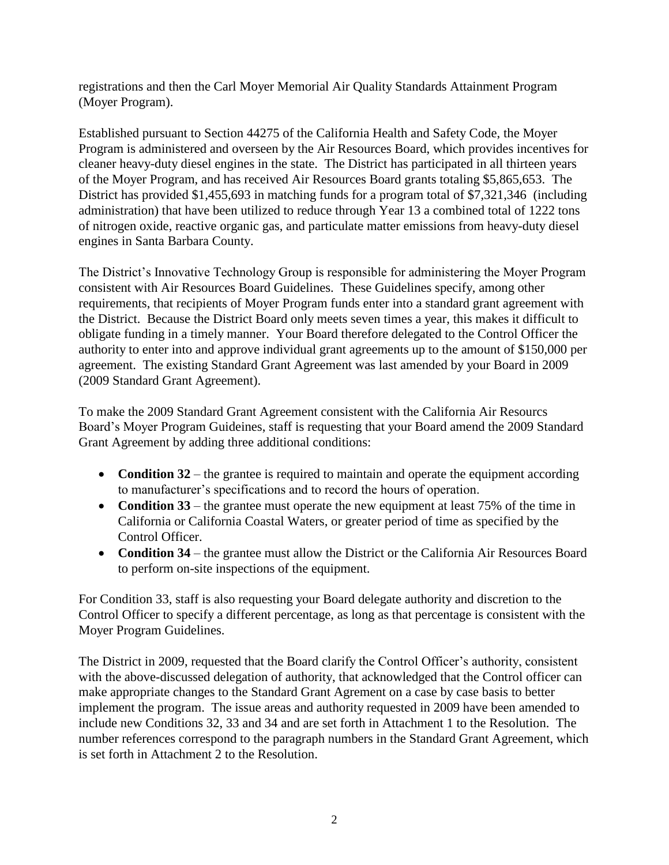registrations and then the Carl Moyer Memorial Air Quality Standards Attainment Program (Moyer Program).

Established pursuant to Section 44275 of the California Health and Safety Code, the Moyer Program is administered and overseen by the Air Resources Board, which provides incentives for cleaner heavy-duty diesel engines in the state. The District has participated in all thirteen years of the Moyer Program, and has received Air Resources Board grants totaling \$5,865,653. The District has provided \$1,455,693 in matching funds for a program total of \$7,321,346 (including administration) that have been utilized to reduce through Year 13 a combined total of 1222 tons of nitrogen oxide, reactive organic gas, and particulate matter emissions from heavy-duty diesel engines in Santa Barbara County.

The District's Innovative Technology Group is responsible for administering the Moyer Program consistent with Air Resources Board Guidelines. These Guidelines specify, among other requirements, that recipients of Moyer Program funds enter into a standard grant agreement with the District. Because the District Board only meets seven times a year, this makes it difficult to obligate funding in a timely manner. Your Board therefore delegated to the Control Officer the authority to enter into and approve individual grant agreements up to the amount of \$150,000 per agreement. The existing Standard Grant Agreement was last amended by your Board in 2009 (2009 Standard Grant Agreement).

To make the 2009 Standard Grant Agreement consistent with the California Air Resourcs Board's Moyer Program Guideines, staff is requesting that your Board amend the 2009 Standard Grant Agreement by adding three additional conditions:

- **Condition 32** the grantee is required to maintain and operate the equipment according to manufacturer's specifications and to record the hours of operation.
- **Condition 33** the grantee must operate the new equipment at least 75% of the time in California or California Coastal Waters, or greater period of time as specified by the Control Officer.
- **Condition 34** the grantee must allow the District or the California Air Resources Board to perform on-site inspections of the equipment.

For Condition 33, staff is also requesting your Board delegate authority and discretion to the Control Officer to specify a different percentage, as long as that percentage is consistent with the Moyer Program Guidelines.

The District in 2009, requested that the Board clarify the Control Officer's authority, consistent with the above-discussed delegation of authority, that acknowledged that the Control officer can make appropriate changes to the Standard Grant Agrement on a case by case basis to better implement the program. The issue areas and authority requested in 2009 have been amended to include new Conditions 32, 33 and 34 and are set forth in Attachment 1 to the Resolution. The number references correspond to the paragraph numbers in the Standard Grant Agreement, which is set forth in Attachment 2 to the Resolution.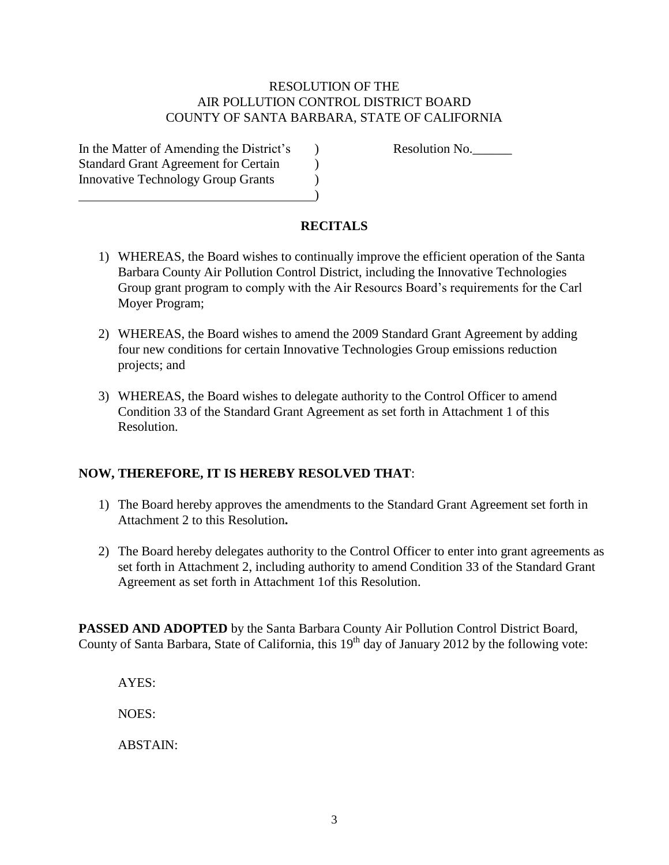## RESOLUTION OF THE AIR POLLUTION CONTROL DISTRICT BOARD COUNTY OF SANTA BARBARA, STATE OF CALIFORNIA

In the Matter of Amending the District's a metal association No. Standard Grant Agreement for Certain  $\qquad$ Innovative Technology Group Grants (1)  $\hspace{1.5cm}$ ) and  $\hspace{1.5cm}$  (  $\hspace{1.5cm}$  ) and  $\hspace{1.5cm}$  (  $\hspace{1.5cm}$  )

## **RECITALS**

- 1) WHEREAS, the Board wishes to continually improve the efficient operation of the Santa Barbara County Air Pollution Control District, including the Innovative Technologies Group grant program to comply with the Air Resourcs Board's requirements for the Carl Moyer Program;
- 2) WHEREAS, the Board wishes to amend the 2009 Standard Grant Agreement by adding four new conditions for certain Innovative Technologies Group emissions reduction projects; and
- 3) WHEREAS, the Board wishes to delegate authority to the Control Officer to amend Condition 33 of the Standard Grant Agreement as set forth in Attachment 1 of this Resolution.

## **NOW, THEREFORE, IT IS HEREBY RESOLVED THAT**:

- 1) The Board hereby approves the amendments to the Standard Grant Agreement set forth in Attachment 2 to this Resolution**.**
- 2) The Board hereby delegates authority to the Control Officer to enter into grant agreements as set forth in Attachment 2, including authority to amend Condition 33 of the Standard Grant Agreement as set forth in Attachment 1of this Resolution.

**PASSED AND ADOPTED** by the Santa Barbara County Air Pollution Control District Board, County of Santa Barbara, State of California, this  $19<sup>th</sup>$  day of January 2012 by the following vote:

AYES: NOES:

ABSTAIN: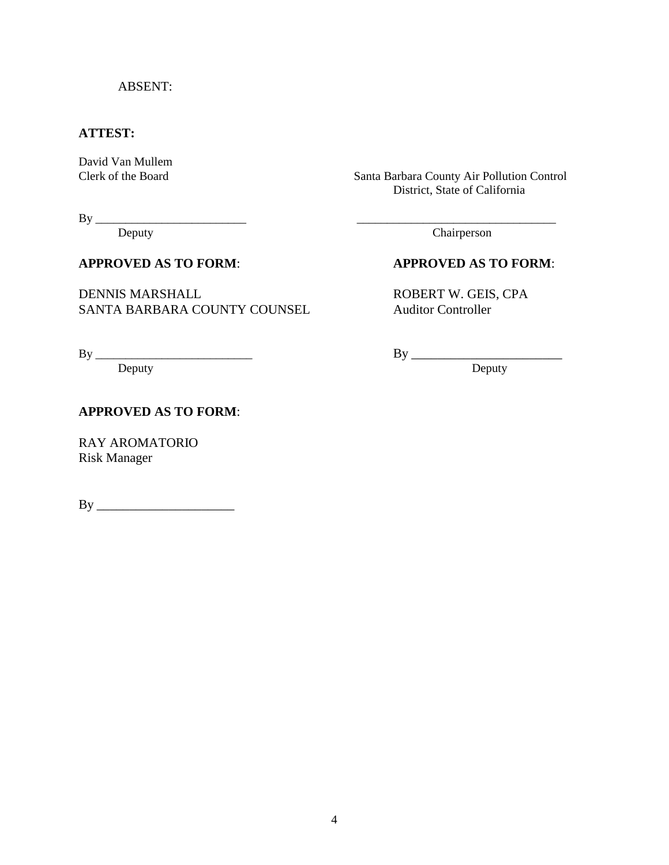## ABSENT:

## **ATTEST:**

David Van Mullem<br>Clerk of the Board

Santa Barbara County Air Pollution Control District, State of California

By \_\_\_\_\_\_\_\_\_\_\_\_\_\_\_\_\_\_\_\_\_\_\_\_\_ \_\_\_\_\_\_\_\_\_\_\_\_\_\_\_\_\_\_\_\_\_\_\_\_\_\_\_\_\_\_\_\_\_

DENNIS MARSHALL ROBERT W. GEIS, CPA SANTA BARBARA COUNTY COUNSEL Auditor Controller

By \_\_\_\_\_\_\_\_\_\_\_\_\_\_\_\_\_\_\_\_\_\_\_\_\_\_ By \_\_\_\_\_\_\_\_\_\_\_\_\_\_\_\_\_\_\_\_\_\_\_

Deputy Deputy

## **APPROVED AS TO FORM**:

RAY AROMATORIO Risk Manager

By \_\_\_\_\_\_\_\_\_\_\_\_\_\_\_\_\_\_\_\_\_

Deputy Chairperson

## **APPROVED AS TO FORM**: **APPROVED AS TO FORM**: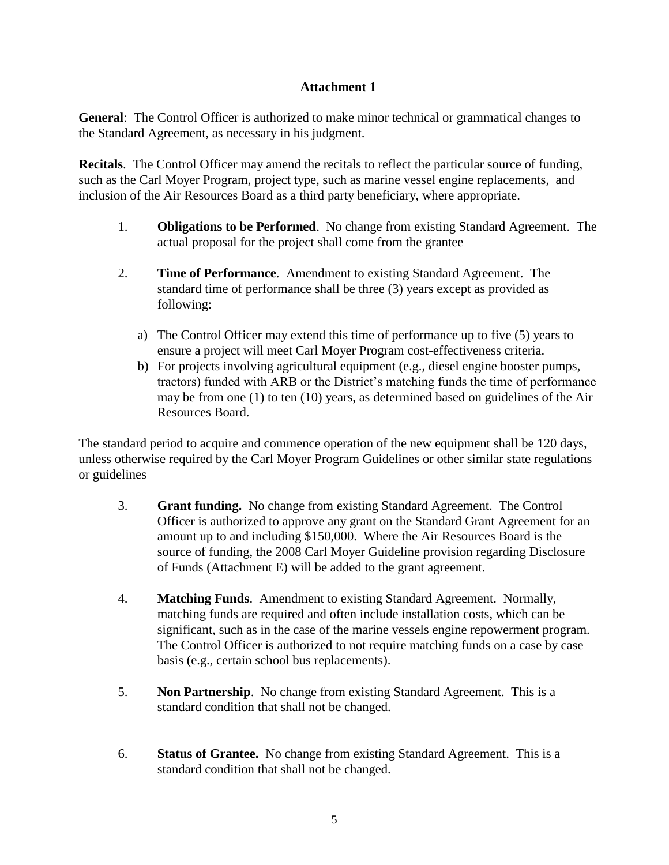## **Attachment 1**

**General**: The Control Officer is authorized to make minor technical or grammatical changes to the Standard Agreement, as necessary in his judgment.

**Recitals**. The Control Officer may amend the recitals to reflect the particular source of funding, such as the Carl Moyer Program, project type, such as marine vessel engine replacements, and inclusion of the Air Resources Board as a third party beneficiary, where appropriate.

- 1. **Obligations to be Performed**. No change from existing Standard Agreement. The actual proposal for the project shall come from the grantee
- 2. **Time of Performance**. Amendment to existing Standard Agreement. The standard time of performance shall be three (3) years except as provided as following:
	- a) The Control Officer may extend this time of performance up to five (5) years to ensure a project will meet Carl Moyer Program cost-effectiveness criteria.
	- b) For projects involving agricultural equipment (e.g., diesel engine booster pumps, tractors) funded with ARB or the District's matching funds the time of performance may be from one (1) to ten (10) years, as determined based on guidelines of the Air Resources Board.

The standard period to acquire and commence operation of the new equipment shall be 120 days, unless otherwise required by the Carl Moyer Program Guidelines or other similar state regulations or guidelines

- 3. **Grant funding.** No change from existing Standard Agreement. The Control Officer is authorized to approve any grant on the Standard Grant Agreement for an amount up to and including \$150,000. Where the Air Resources Board is the source of funding, the 2008 Carl Moyer Guideline provision regarding Disclosure of Funds (Attachment E) will be added to the grant agreement.
- 4. **Matching Funds**. Amendment to existing Standard Agreement. Normally, matching funds are required and often include installation costs, which can be significant, such as in the case of the marine vessels engine repowerment program. The Control Officer is authorized to not require matching funds on a case by case basis (e.g., certain school bus replacements).
- 5. **Non Partnership**. No change from existing Standard Agreement. This is a standard condition that shall not be changed.
- 6. **Status of Grantee.** No change from existing Standard Agreement. This is a standard condition that shall not be changed.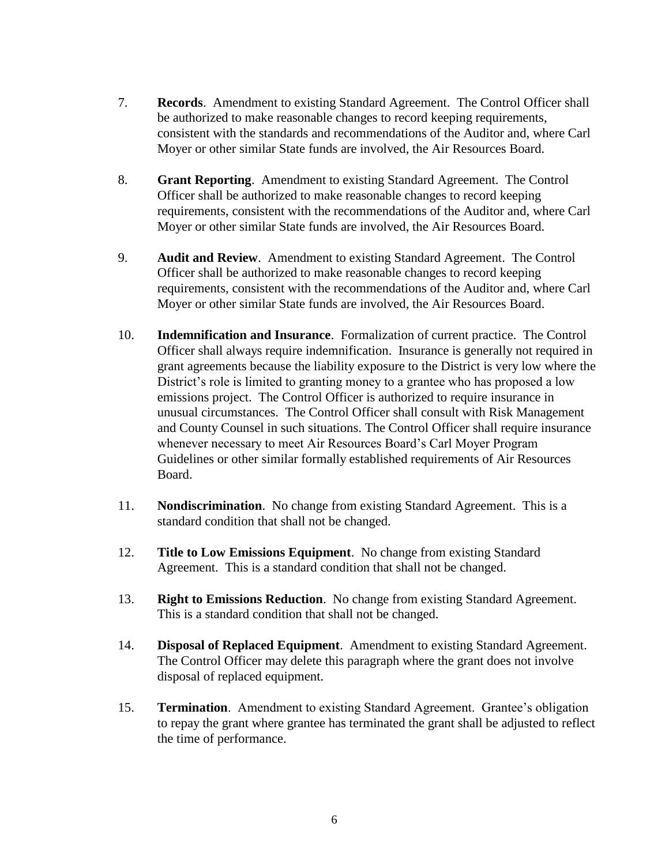- 7. **Records**. Amendment to existing Standard Agreement. The Control Officer shall be authorized to make reasonable changes to record keeping requirements, consistent with the standards and recommendations of the Auditor and, where Carl Moyer or other similar State funds are involved, the Air Resources Board.
- 8. **Grant Reporting**. Amendment to existing Standard Agreement. The Control Officer shall be authorized to make reasonable changes to record keeping requirements, consistent with the recommendations of the Auditor and, where Carl Moyer or other similar State funds are involved, the Air Resources Board.
- 9. **Audit and Review**. Amendment to existing Standard Agreement. The Control Officer shall be authorized to make reasonable changes to record keeping requirements, consistent with the recommendations of the Auditor and, where Carl Moyer or other similar State funds are involved, the Air Resources Board.
- 10. **Indemnification and Insurance**. Formalization of current practice. The Control Officer shall always require indemnification. Insurance is generally not required in grant agreements because the liability exposure to the District is very low where the District's role is limited to granting money to a grantee who has proposed a low emissions project. The Control Officer is authorized to require insurance in unusual circumstances. The Control Officer shall consult with Risk Management and County Counsel in such situations. The Control Officer shall require insurance whenever necessary to meet Air Resources Board's Carl Moyer Program Guidelines or other similar formally established requirements of Air Resources Board.
- 11. **Nondiscrimination**. No change from existing Standard Agreement. This is a standard condition that shall not be changed.
- 12. **Title to Low Emissions Equipment**. No change from existing Standard Agreement. This is a standard condition that shall not be changed.
- 13. **Right to Emissions Reduction**. No change from existing Standard Agreement. This is a standard condition that shall not be changed.
- 14. **Disposal of Replaced Equipment**. Amendment to existing Standard Agreement. The Control Officer may delete this paragraph where the grant does not involve disposal of replaced equipment.
- 15. **Termination**. Amendment to existing Standard Agreement. Grantee's obligation to repay the grant where grantee has terminated the grant shall be adjusted to reflect the time of performance.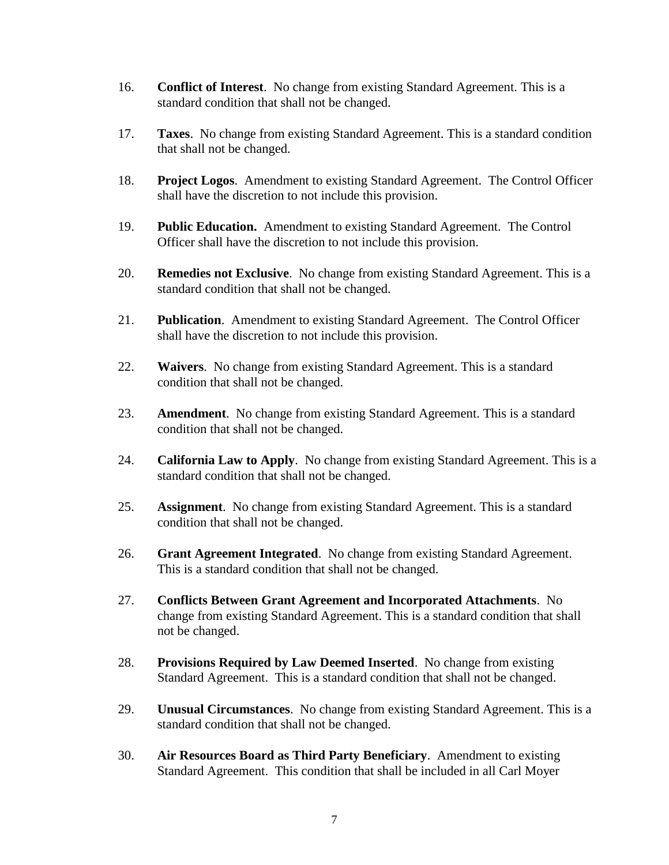- 16. **Conflict of Interest**. No change from existing Standard Agreement. This is a standard condition that shall not be changed.
- 17. **Taxes**. No change from existing Standard Agreement. This is a standard condition that shall not be changed.
- 18. **Project Logos**. Amendment to existing Standard Agreement. The Control Officer shall have the discretion to not include this provision.
- 19. **Public Education.** Amendment to existing Standard Agreement. The Control Officer shall have the discretion to not include this provision.
- 20. **Remedies not Exclusive**. No change from existing Standard Agreement. This is a standard condition that shall not be changed.
- 21. **Publication**. Amendment to existing Standard Agreement. The Control Officer shall have the discretion to not include this provision.
- 22. **Waivers**. No change from existing Standard Agreement. This is a standard condition that shall not be changed.
- 23. **Amendment**. No change from existing Standard Agreement. This is a standard condition that shall not be changed.
- 24. **California Law to Apply**. No change from existing Standard Agreement. This is a standard condition that shall not be changed.
- 25. **Assignment**. No change from existing Standard Agreement. This is a standard condition that shall not be changed.
- 26. **Grant Agreement Integrated**. No change from existing Standard Agreement. This is a standard condition that shall not be changed.
- 27. **Conflicts Between Grant Agreement and Incorporated Attachments**. No change from existing Standard Agreement. This is a standard condition that shall not be changed.
- 28. **Provisions Required by Law Deemed Inserted**. No change from existing Standard Agreement. This is a standard condition that shall not be changed.
- 29. **Unusual Circumstances**. No change from existing Standard Agreement. This is a standard condition that shall not be changed.
- 30. **Air Resources Board as Third Party Beneficiary**. Amendment to existing Standard Agreement. This condition that shall be included in all Carl Moyer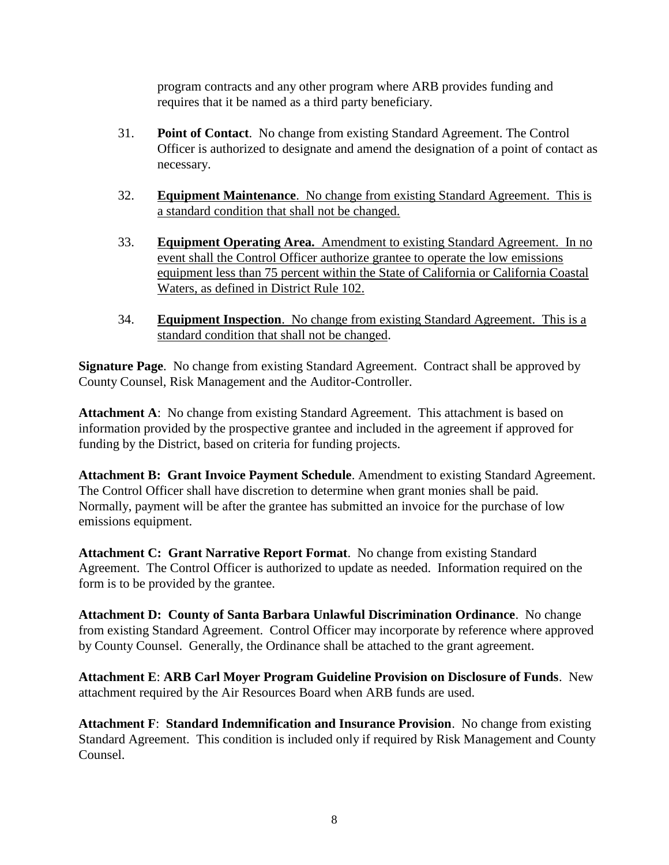program contracts and any other program where ARB provides funding and requires that it be named as a third party beneficiary.

- 31. **Point of Contact**. No change from existing Standard Agreement. The Control Officer is authorized to designate and amend the designation of a point of contact as necessary.
- 32. **Equipment Maintenance**. No change from existing Standard Agreement. This is a standard condition that shall not be changed.
- 33. **Equipment Operating Area.** Amendment to existing Standard Agreement. In no event shall the Control Officer authorize grantee to operate the low emissions equipment less than 75 percent within the State of California or California Coastal Waters, as defined in District Rule 102.
- 34. **Equipment Inspection**. No change from existing Standard Agreement. This is a standard condition that shall not be changed.

**Signature Page**. No change from existing Standard Agreement. Contract shall be approved by County Counsel, Risk Management and the Auditor-Controller.

**Attachment A**: No change from existing Standard Agreement. This attachment is based on information provided by the prospective grantee and included in the agreement if approved for funding by the District, based on criteria for funding projects.

**Attachment B: Grant Invoice Payment Schedule**. Amendment to existing Standard Agreement. The Control Officer shall have discretion to determine when grant monies shall be paid. Normally, payment will be after the grantee has submitted an invoice for the purchase of low emissions equipment.

**Attachment C: Grant Narrative Report Format**. No change from existing Standard Agreement. The Control Officer is authorized to update as needed. Information required on the form is to be provided by the grantee.

**Attachment D: County of Santa Barbara Unlawful Discrimination Ordinance**. No change from existing Standard Agreement. Control Officer may incorporate by reference where approved by County Counsel. Generally, the Ordinance shall be attached to the grant agreement.

**Attachment E**: **ARB Carl Moyer Program Guideline Provision on Disclosure of Funds**. New attachment required by the Air Resources Board when ARB funds are used.

**Attachment F**: **Standard Indemnification and Insurance Provision**. No change from existing Standard Agreement. This condition is included only if required by Risk Management and County Counsel.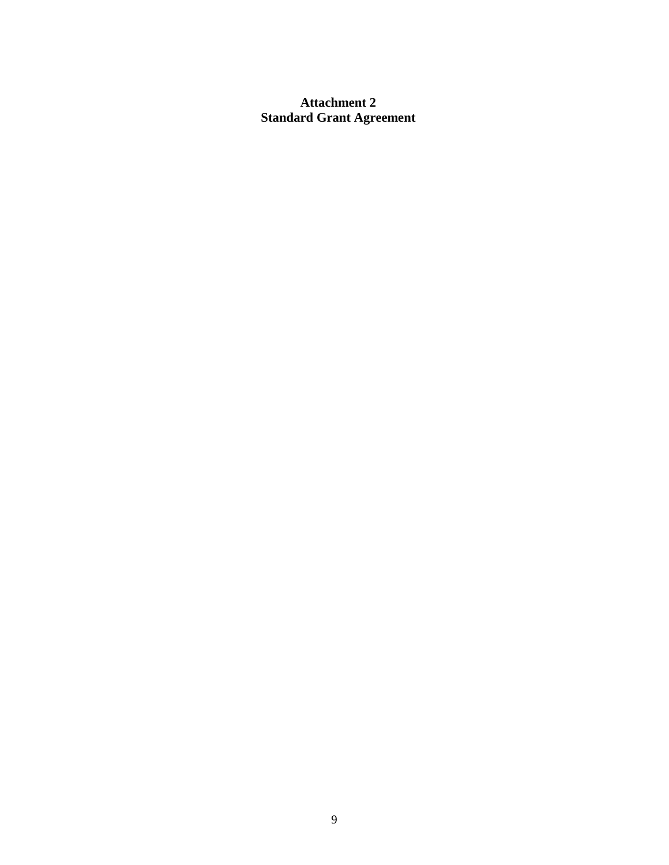## **Attachment 2 Standard Grant Agreement**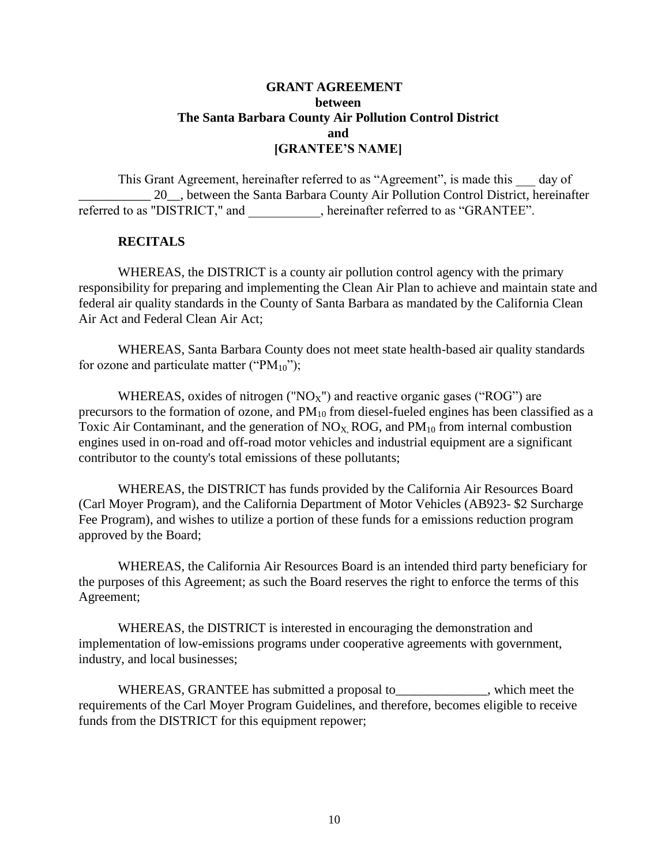## **GRANT AGREEMENT between The Santa Barbara County Air Pollution Control District and [GRANTEE'S NAME]**

This Grant Agreement, hereinafter referred to as "Agreement", is made this day of 20. between the Santa Barbara County Air Pollution Control District, hereinafter referred to as "DISTRICT," and <br>ereinafter referred to as "GRANTEE".

#### **RECITALS**

WHEREAS, the DISTRICT is a county air pollution control agency with the primary responsibility for preparing and implementing the Clean Air Plan to achieve and maintain state and federal air quality standards in the County of Santa Barbara as mandated by the California Clean Air Act and Federal Clean Air Act;

WHEREAS, Santa Barbara County does not meet state health-based air quality standards for ozone and particulate matter (" $PM_{10}$ ");

WHEREAS, oxides of nitrogen (" $NO<sub>X</sub>$ ") and reactive organic gases ("ROG") are precursors to the formation of ozone, and  $PM_{10}$  from diesel-fueled engines has been classified as a Toxic Air Contaminant, and the generation of  $NO<sub>X</sub>$ , ROG, and  $PM<sub>10</sub>$  from internal combustion engines used in on-road and off-road motor vehicles and industrial equipment are a significant contributor to the county's total emissions of these pollutants;

WHEREAS, the DISTRICT has funds provided by the California Air Resources Board (Carl Moyer Program), and the California Department of Motor Vehicles (AB923- \$2 Surcharge Fee Program), and wishes to utilize a portion of these funds for a emissions reduction program approved by the Board;

WHEREAS, the California Air Resources Board is an intended third party beneficiary for the purposes of this Agreement; as such the Board reserves the right to enforce the terms of this Agreement;

WHEREAS, the DISTRICT is interested in encouraging the demonstration and implementation of low-emissions programs under cooperative agreements with government, industry, and local businesses;

WHEREAS, GRANTEE has submitted a proposal to submitted the submitted which meet the requirements of the Carl Moyer Program Guidelines, and therefore, becomes eligible to receive funds from the DISTRICT for this equipment repower;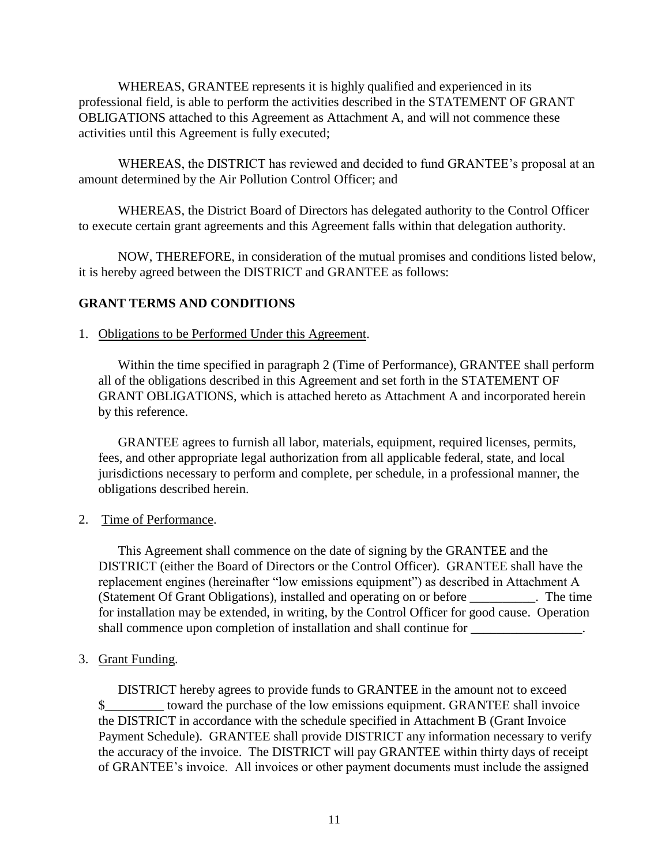WHEREAS, GRANTEE represents it is highly qualified and experienced in its professional field, is able to perform the activities described in the STATEMENT OF GRANT OBLIGATIONS attached to this Agreement as Attachment A, and will not commence these activities until this Agreement is fully executed;

WHEREAS, the DISTRICT has reviewed and decided to fund GRANTEE's proposal at an amount determined by the Air Pollution Control Officer; and

WHEREAS, the District Board of Directors has delegated authority to the Control Officer to execute certain grant agreements and this Agreement falls within that delegation authority.

NOW, THEREFORE, in consideration of the mutual promises and conditions listed below, it is hereby agreed between the DISTRICT and GRANTEE as follows:

## **GRANT TERMS AND CONDITIONS**

## 1. Obligations to be Performed Under this Agreement.

Within the time specified in paragraph 2 (Time of Performance), GRANTEE shall perform all of the obligations described in this Agreement and set forth in the STATEMENT OF GRANT OBLIGATIONS, which is attached hereto as Attachment A and incorporated herein by this reference.

GRANTEE agrees to furnish all labor, materials, equipment, required licenses, permits, fees, and other appropriate legal authorization from all applicable federal, state, and local jurisdictions necessary to perform and complete, per schedule, in a professional manner, the obligations described herein.

#### 2. Time of Performance.

This Agreement shall commence on the date of signing by the GRANTEE and the DISTRICT (either the Board of Directors or the Control Officer). GRANTEE shall have the replacement engines (hereinafter "low emissions equipment") as described in Attachment A (Statement Of Grant Obligations), installed and operating on or before \_\_\_\_\_\_\_\_\_\_. The time for installation may be extended, in writing, by the Control Officer for good cause. Operation shall commence upon completion of installation and shall continue for  $\blacksquare$ 

## 3. Grant Funding.

DISTRICT hereby agrees to provide funds to GRANTEE in the amount not to exceed \$\_\_\_\_\_\_\_\_\_ toward the purchase of the low emissions equipment. GRANTEE shall invoice the DISTRICT in accordance with the schedule specified in Attachment B (Grant Invoice Payment Schedule). GRANTEE shall provide DISTRICT any information necessary to verify the accuracy of the invoice. The DISTRICT will pay GRANTEE within thirty days of receipt of GRANTEE's invoice. All invoices or other payment documents must include the assigned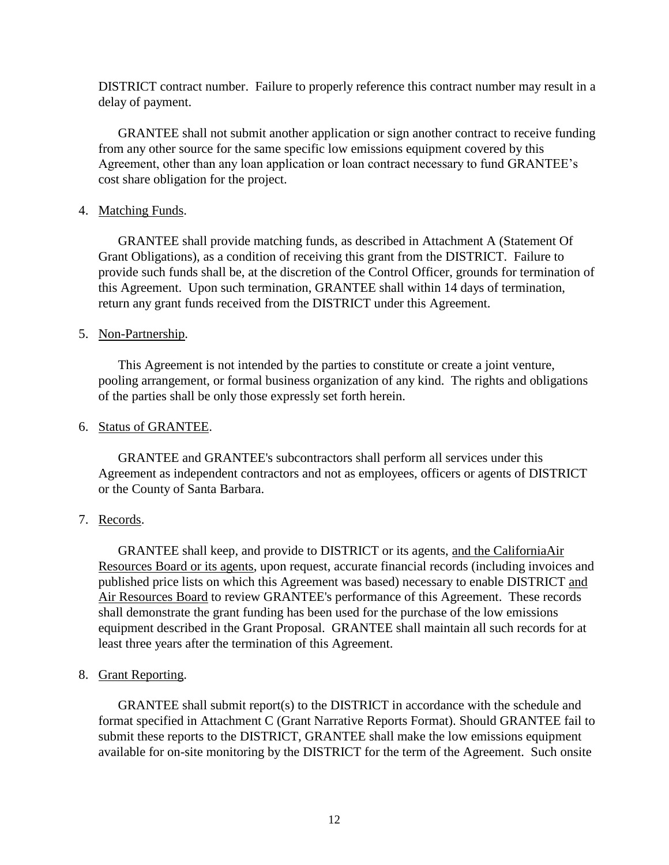DISTRICT contract number. Failure to properly reference this contract number may result in a delay of payment.

GRANTEE shall not submit another application or sign another contract to receive funding from any other source for the same specific low emissions equipment covered by this Agreement, other than any loan application or loan contract necessary to fund GRANTEE's cost share obligation for the project.

#### 4. Matching Funds.

GRANTEE shall provide matching funds, as described in Attachment A (Statement Of Grant Obligations), as a condition of receiving this grant from the DISTRICT. Failure to provide such funds shall be, at the discretion of the Control Officer, grounds for termination of this Agreement. Upon such termination, GRANTEE shall within 14 days of termination, return any grant funds received from the DISTRICT under this Agreement.

## 5. Non-Partnership.

This Agreement is not intended by the parties to constitute or create a joint venture, pooling arrangement, or formal business organization of any kind. The rights and obligations of the parties shall be only those expressly set forth herein.

### 6. Status of GRANTEE.

GRANTEE and GRANTEE's subcontractors shall perform all services under this Agreement as independent contractors and not as employees, officers or agents of DISTRICT or the County of Santa Barbara.

## 7. Records.

GRANTEE shall keep, and provide to DISTRICT or its agents, and the CaliforniaAir Resources Board or its agents, upon request, accurate financial records (including invoices and published price lists on which this Agreement was based) necessary to enable DISTRICT and Air Resources Board to review GRANTEE's performance of this Agreement. These records shall demonstrate the grant funding has been used for the purchase of the low emissions equipment described in the Grant Proposal. GRANTEE shall maintain all such records for at least three years after the termination of this Agreement.

#### 8. Grant Reporting.

GRANTEE shall submit report(s) to the DISTRICT in accordance with the schedule and format specified in Attachment C (Grant Narrative Reports Format). Should GRANTEE fail to submit these reports to the DISTRICT, GRANTEE shall make the low emissions equipment available for on-site monitoring by the DISTRICT for the term of the Agreement. Such onsite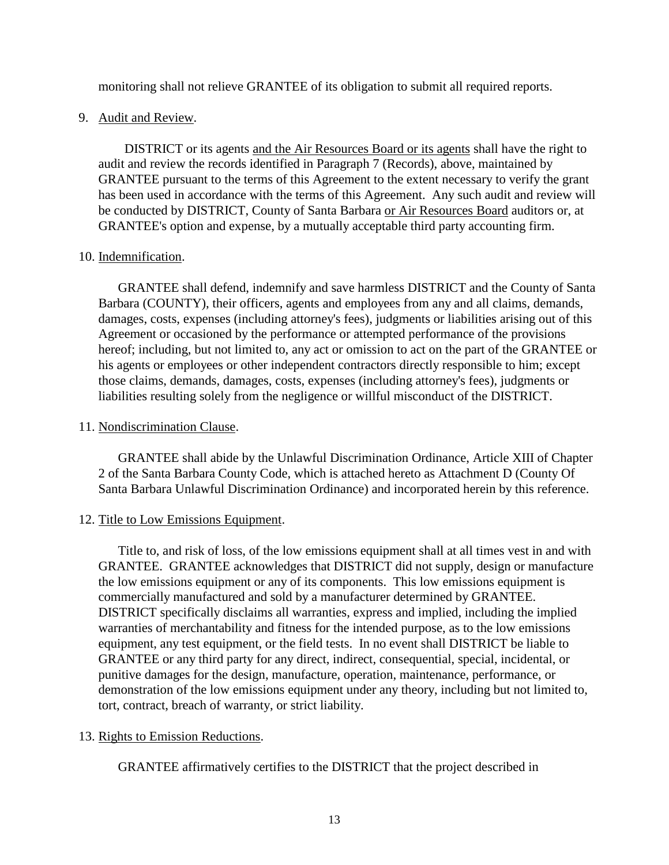monitoring shall not relieve GRANTEE of its obligation to submit all required reports.

### 9. Audit and Review.

 DISTRICT or its agents and the Air Resources Board or its agents shall have the right to audit and review the records identified in Paragraph 7 (Records), above, maintained by GRANTEE pursuant to the terms of this Agreement to the extent necessary to verify the grant has been used in accordance with the terms of this Agreement. Any such audit and review will be conducted by DISTRICT, County of Santa Barbara or Air Resources Board auditors or, at GRANTEE's option and expense, by a mutually acceptable third party accounting firm.

## 10. Indemnification.

 GRANTEE shall defend, indemnify and save harmless DISTRICT and the County of Santa Barbara (COUNTY), their officers, agents and employees from any and all claims, demands, damages, costs, expenses (including attorney's fees), judgments or liabilities arising out of this Agreement or occasioned by the performance or attempted performance of the provisions hereof; including, but not limited to, any act or omission to act on the part of the GRANTEE or his agents or employees or other independent contractors directly responsible to him; except those claims, demands, damages, costs, expenses (including attorney's fees), judgments or liabilities resulting solely from the negligence or willful misconduct of the DISTRICT.

## 11. Nondiscrimination Clause.

GRANTEE shall abide by the Unlawful Discrimination Ordinance, Article XIII of Chapter 2 of the Santa Barbara County Code, which is attached hereto as Attachment D (County Of Santa Barbara Unlawful Discrimination Ordinance) and incorporated herein by this reference.

## 12. Title to Low Emissions Equipment.

Title to, and risk of loss, of the low emissions equipment shall at all times vest in and with GRANTEE. GRANTEE acknowledges that DISTRICT did not supply, design or manufacture the low emissions equipment or any of its components. This low emissions equipment is commercially manufactured and sold by a manufacturer determined by GRANTEE. DISTRICT specifically disclaims all warranties, express and implied, including the implied warranties of merchantability and fitness for the intended purpose, as to the low emissions equipment, any test equipment, or the field tests. In no event shall DISTRICT be liable to GRANTEE or any third party for any direct, indirect, consequential, special, incidental, or punitive damages for the design, manufacture, operation, maintenance, performance, or demonstration of the low emissions equipment under any theory, including but not limited to, tort, contract, breach of warranty, or strict liability.

## 13. Rights to Emission Reductions.

GRANTEE affirmatively certifies to the DISTRICT that the project described in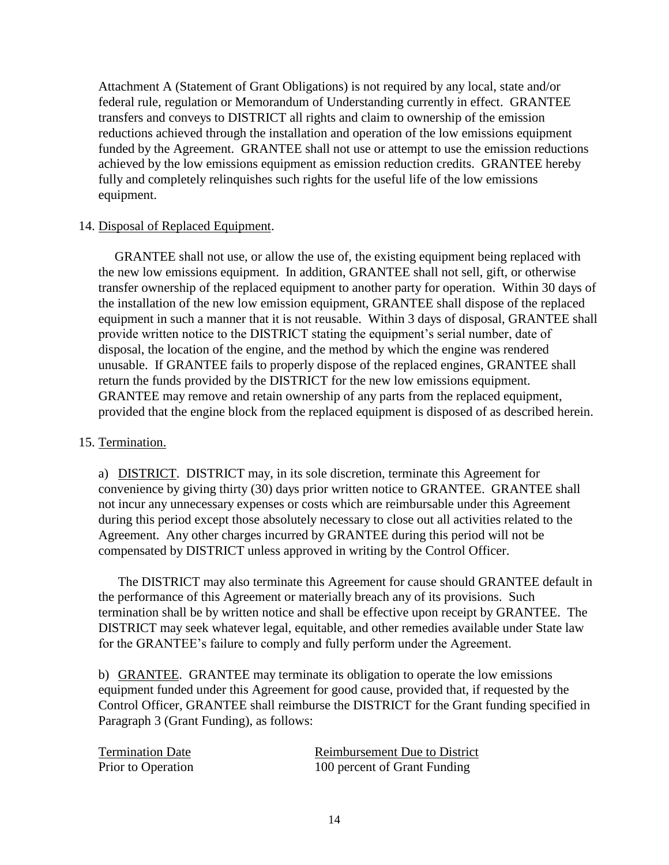Attachment A (Statement of Grant Obligations) is not required by any local, state and/or federal rule, regulation or Memorandum of Understanding currently in effect. GRANTEE transfers and conveys to DISTRICT all rights and claim to ownership of the emission reductions achieved through the installation and operation of the low emissions equipment funded by the Agreement. GRANTEE shall not use or attempt to use the emission reductions achieved by the low emissions equipment as emission reduction credits. GRANTEE hereby fully and completely relinquishes such rights for the useful life of the low emissions equipment.

## 14. Disposal of Replaced Equipment.

 GRANTEE shall not use, or allow the use of, the existing equipment being replaced with the new low emissions equipment. In addition, GRANTEE shall not sell, gift, or otherwise transfer ownership of the replaced equipment to another party for operation. Within 30 days of the installation of the new low emission equipment, GRANTEE shall dispose of the replaced equipment in such a manner that it is not reusable. Within 3 days of disposal, GRANTEE shall provide written notice to the DISTRICT stating the equipment's serial number, date of disposal, the location of the engine, and the method by which the engine was rendered unusable. If GRANTEE fails to properly dispose of the replaced engines, GRANTEE shall return the funds provided by the DISTRICT for the new low emissions equipment. GRANTEE may remove and retain ownership of any parts from the replaced equipment, provided that the engine block from the replaced equipment is disposed of as described herein.

#### 15. Termination.

a) DISTRICT. DISTRICT may, in its sole discretion, terminate this Agreement for convenience by giving thirty (30) days prior written notice to GRANTEE. GRANTEE shall not incur any unnecessary expenses or costs which are reimbursable under this Agreement during this period except those absolutely necessary to close out all activities related to the Agreement. Any other charges incurred by GRANTEE during this period will not be compensated by DISTRICT unless approved in writing by the Control Officer.

The DISTRICT may also terminate this Agreement for cause should GRANTEE default in the performance of this Agreement or materially breach any of its provisions. Such termination shall be by written notice and shall be effective upon receipt by GRANTEE. The DISTRICT may seek whatever legal, equitable, and other remedies available under State law for the GRANTEE's failure to comply and fully perform under the Agreement.

b) GRANTEE. GRANTEE may terminate its obligation to operate the low emissions equipment funded under this Agreement for good cause, provided that, if requested by the Control Officer, GRANTEE shall reimburse the DISTRICT for the Grant funding specified in Paragraph 3 (Grant Funding), as follows:

| <b>Termination Date</b> | <b>Reimbursement Due to District</b> |
|-------------------------|--------------------------------------|
| Prior to Operation      | 100 percent of Grant Funding         |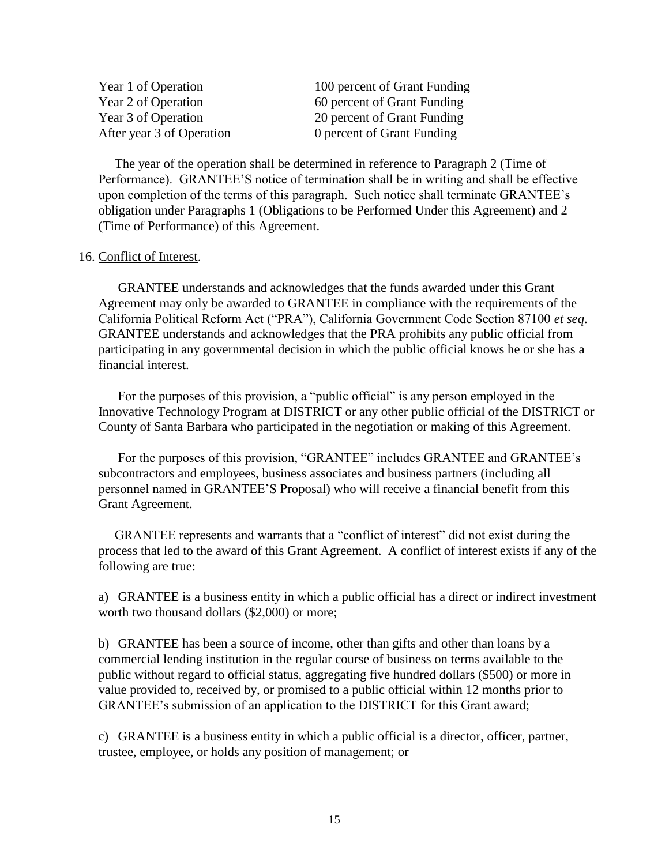Year 1 of Operation 100 percent of Grant Funding Year 2 of Operation 60 percent of Grant Funding Year 3 of Operation 20 percent of Grant Funding After year 3 of Operation 0 percent of Grant Funding

 The year of the operation shall be determined in reference to Paragraph 2 (Time of Performance). GRANTEE'S notice of termination shall be in writing and shall be effective upon completion of the terms of this paragraph. Such notice shall terminate GRANTEE's obligation under Paragraphs 1 (Obligations to be Performed Under this Agreement) and 2 (Time of Performance) of this Agreement.

#### 16. Conflict of Interest.

GRANTEE understands and acknowledges that the funds awarded under this Grant Agreement may only be awarded to GRANTEE in compliance with the requirements of the California Political Reform Act ("PRA"), California Government Code Section 87100 *et seq*. GRANTEE understands and acknowledges that the PRA prohibits any public official from participating in any governmental decision in which the public official knows he or she has a financial interest.

For the purposes of this provision, a "public official" is any person employed in the Innovative Technology Program at DISTRICT or any other public official of the DISTRICT or County of Santa Barbara who participated in the negotiation or making of this Agreement.

For the purposes of this provision, "GRANTEE" includes GRANTEE and GRANTEE's subcontractors and employees, business associates and business partners (including all personnel named in GRANTEE'S Proposal) who will receive a financial benefit from this Grant Agreement.

 GRANTEE represents and warrants that a "conflict of interest" did not exist during the process that led to the award of this Grant Agreement. A conflict of interest exists if any of the following are true:

a) GRANTEE is a business entity in which a public official has a direct or indirect investment worth two thousand dollars (\$2,000) or more;

b) GRANTEE has been a source of income, other than gifts and other than loans by a commercial lending institution in the regular course of business on terms available to the public without regard to official status, aggregating five hundred dollars (\$500) or more in value provided to, received by, or promised to a public official within 12 months prior to GRANTEE's submission of an application to the DISTRICT for this Grant award;

c) GRANTEE is a business entity in which a public official is a director, officer, partner, trustee, employee, or holds any position of management; or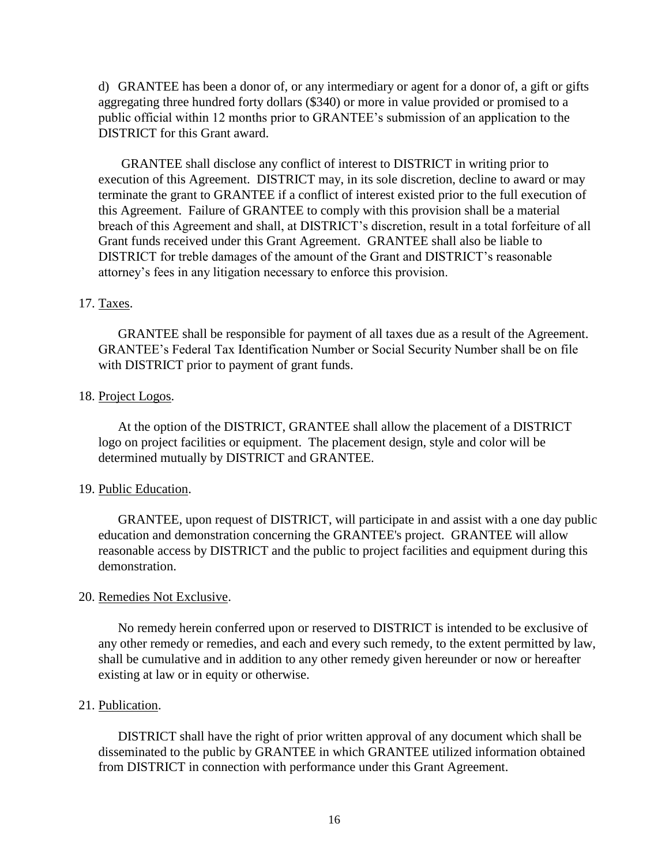d) GRANTEE has been a donor of, or any intermediary or agent for a donor of, a gift or gifts aggregating three hundred forty dollars (\$340) or more in value provided or promised to a public official within 12 months prior to GRANTEE's submission of an application to the DISTRICT for this Grant award.

 GRANTEE shall disclose any conflict of interest to DISTRICT in writing prior to execution of this Agreement. DISTRICT may, in its sole discretion, decline to award or may terminate the grant to GRANTEE if a conflict of interest existed prior to the full execution of this Agreement. Failure of GRANTEE to comply with this provision shall be a material breach of this Agreement and shall, at DISTRICT's discretion, result in a total forfeiture of all Grant funds received under this Grant Agreement. GRANTEE shall also be liable to DISTRICT for treble damages of the amount of the Grant and DISTRICT's reasonable attorney's fees in any litigation necessary to enforce this provision.

#### 17. Taxes.

GRANTEE shall be responsible for payment of all taxes due as a result of the Agreement. GRANTEE's Federal Tax Identification Number or Social Security Number shall be on file with DISTRICT prior to payment of grant funds.

#### 18. Project Logos.

At the option of the DISTRICT, GRANTEE shall allow the placement of a DISTRICT logo on project facilities or equipment. The placement design, style and color will be determined mutually by DISTRICT and GRANTEE.

#### 19. Public Education.

GRANTEE, upon request of DISTRICT, will participate in and assist with a one day public education and demonstration concerning the GRANTEE's project. GRANTEE will allow reasonable access by DISTRICT and the public to project facilities and equipment during this demonstration.

#### 20. Remedies Not Exclusive.

No remedy herein conferred upon or reserved to DISTRICT is intended to be exclusive of any other remedy or remedies, and each and every such remedy, to the extent permitted by law, shall be cumulative and in addition to any other remedy given hereunder or now or hereafter existing at law or in equity or otherwise.

#### 21. Publication.

DISTRICT shall have the right of prior written approval of any document which shall be disseminated to the public by GRANTEE in which GRANTEE utilized information obtained from DISTRICT in connection with performance under this Grant Agreement.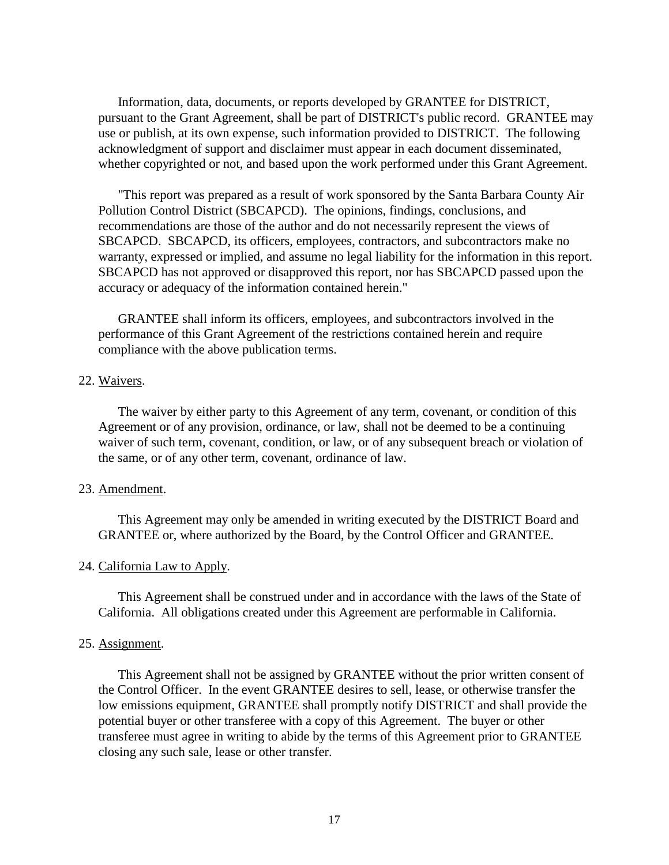Information, data, documents, or reports developed by GRANTEE for DISTRICT, pursuant to the Grant Agreement, shall be part of DISTRICT's public record. GRANTEE may use or publish, at its own expense, such information provided to DISTRICT. The following acknowledgment of support and disclaimer must appear in each document disseminated, whether copyrighted or not, and based upon the work performed under this Grant Agreement.

"This report was prepared as a result of work sponsored by the Santa Barbara County Air Pollution Control District (SBCAPCD). The opinions, findings, conclusions, and recommendations are those of the author and do not necessarily represent the views of SBCAPCD. SBCAPCD, its officers, employees, contractors, and subcontractors make no warranty, expressed or implied, and assume no legal liability for the information in this report. SBCAPCD has not approved or disapproved this report, nor has SBCAPCD passed upon the accuracy or adequacy of the information contained herein."

GRANTEE shall inform its officers, employees, and subcontractors involved in the performance of this Grant Agreement of the restrictions contained herein and require compliance with the above publication terms.

#### 22. Waivers.

The waiver by either party to this Agreement of any term, covenant, or condition of this Agreement or of any provision, ordinance, or law, shall not be deemed to be a continuing waiver of such term, covenant, condition, or law, or of any subsequent breach or violation of the same, or of any other term, covenant, ordinance of law.

#### 23. Amendment.

This Agreement may only be amended in writing executed by the DISTRICT Board and GRANTEE or, where authorized by the Board, by the Control Officer and GRANTEE.

#### 24. California Law to Apply.

This Agreement shall be construed under and in accordance with the laws of the State of California. All obligations created under this Agreement are performable in California.

#### 25. Assignment.

This Agreement shall not be assigned by GRANTEE without the prior written consent of the Control Officer. In the event GRANTEE desires to sell, lease, or otherwise transfer the low emissions equipment, GRANTEE shall promptly notify DISTRICT and shall provide the potential buyer or other transferee with a copy of this Agreement. The buyer or other transferee must agree in writing to abide by the terms of this Agreement prior to GRANTEE closing any such sale, lease or other transfer.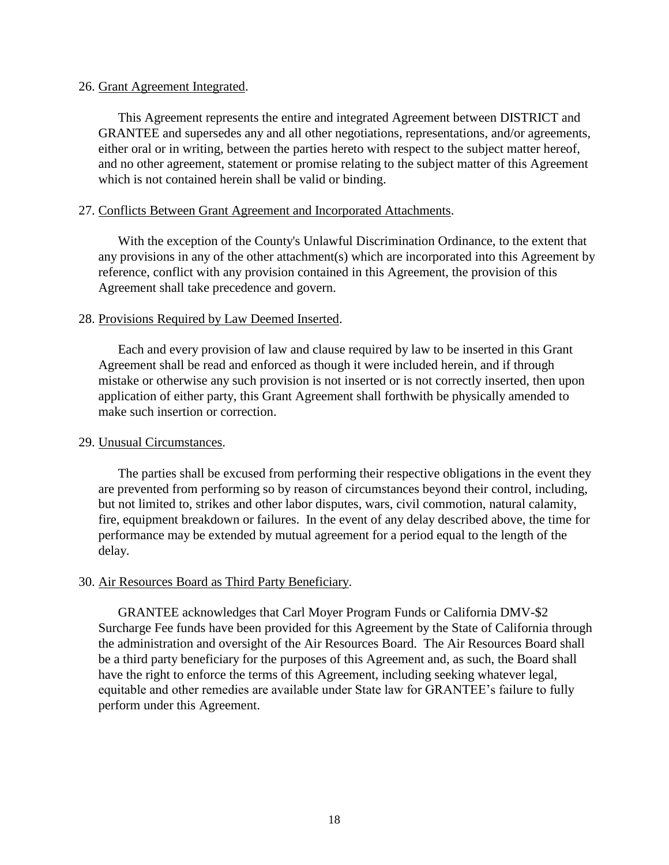#### 26. Grant Agreement Integrated.

This Agreement represents the entire and integrated Agreement between DISTRICT and GRANTEE and supersedes any and all other negotiations, representations, and/or agreements, either oral or in writing, between the parties hereto with respect to the subject matter hereof, and no other agreement, statement or promise relating to the subject matter of this Agreement which is not contained herein shall be valid or binding.

#### 27. Conflicts Between Grant Agreement and Incorporated Attachments.

With the exception of the County's Unlawful Discrimination Ordinance, to the extent that any provisions in any of the other attachment(s) which are incorporated into this Agreement by reference, conflict with any provision contained in this Agreement, the provision of this Agreement shall take precedence and govern.

## 28. Provisions Required by Law Deemed Inserted.

Each and every provision of law and clause required by law to be inserted in this Grant Agreement shall be read and enforced as though it were included herein, and if through mistake or otherwise any such provision is not inserted or is not correctly inserted, then upon application of either party, this Grant Agreement shall forthwith be physically amended to make such insertion or correction.

#### 29. Unusual Circumstances.

The parties shall be excused from performing their respective obligations in the event they are prevented from performing so by reason of circumstances beyond their control, including, but not limited to, strikes and other labor disputes, wars, civil commotion, natural calamity, fire, equipment breakdown or failures. In the event of any delay described above, the time for performance may be extended by mutual agreement for a period equal to the length of the delay.

#### 30. Air Resources Board as Third Party Beneficiary.

GRANTEE acknowledges that Carl Moyer Program Funds or California DMV-\$2 Surcharge Fee funds have been provided for this Agreement by the State of California through the administration and oversight of the Air Resources Board. The Air Resources Board shall be a third party beneficiary for the purposes of this Agreement and, as such, the Board shall have the right to enforce the terms of this Agreement, including seeking whatever legal, equitable and other remedies are available under State law for GRANTEE's failure to fully perform under this Agreement.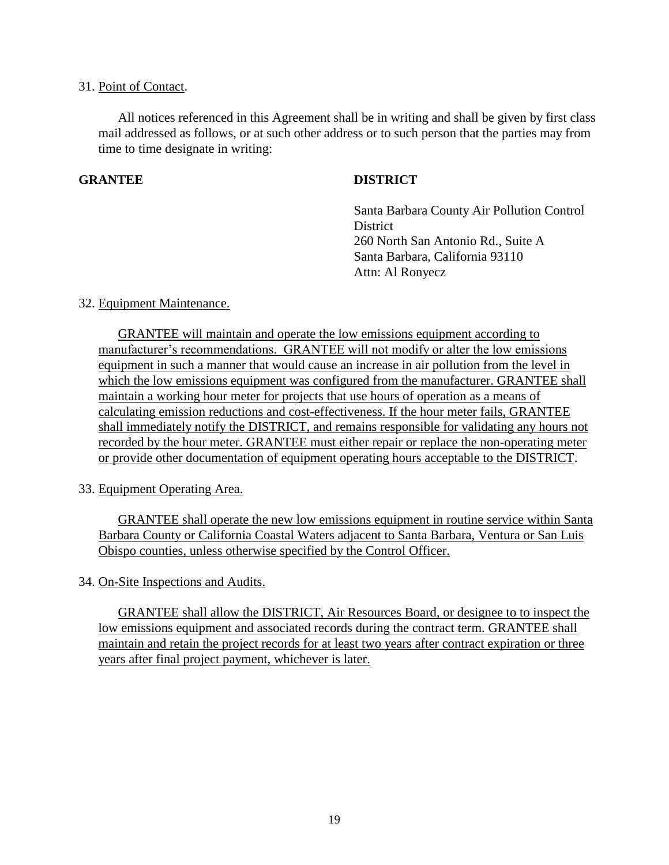#### 31. Point of Contact.

All notices referenced in this Agreement shall be in writing and shall be given by first class mail addressed as follows, or at such other address or to such person that the parties may from time to time designate in writing:

## **GRANTEE DISTRICT**

Santa Barbara County Air Pollution Control **District** 260 North San Antonio Rd., Suite A Santa Barbara, California 93110 Attn: Al Ronyecz

#### 32. Equipment Maintenance.

GRANTEE will maintain and operate the low emissions equipment according to manufacturer's recommendations. GRANTEE will not modify or alter the low emissions equipment in such a manner that would cause an increase in air pollution from the level in which the low emissions equipment was configured from the manufacturer. GRANTEE shall maintain a working hour meter for projects that use hours of operation as a means of calculating emission reductions and cost-effectiveness. If the hour meter fails, GRANTEE shall immediately notify the DISTRICT, and remains responsible for validating any hours not recorded by the hour meter. GRANTEE must either repair or replace the non-operating meter or provide other documentation of equipment operating hours acceptable to the DISTRICT.

#### 33. Equipment Operating Area.

GRANTEE shall operate the new low emissions equipment in routine service within Santa Barbara County or California Coastal Waters adjacent to Santa Barbara, Ventura or San Luis Obispo counties, unless otherwise specified by the Control Officer.

34. On-Site Inspections and Audits.

GRANTEE shall allow the DISTRICT, Air Resources Board, or designee to to inspect the low emissions equipment and associated records during the contract term. GRANTEE shall maintain and retain the project records for at least two years after contract expiration or three years after final project payment, whichever is later.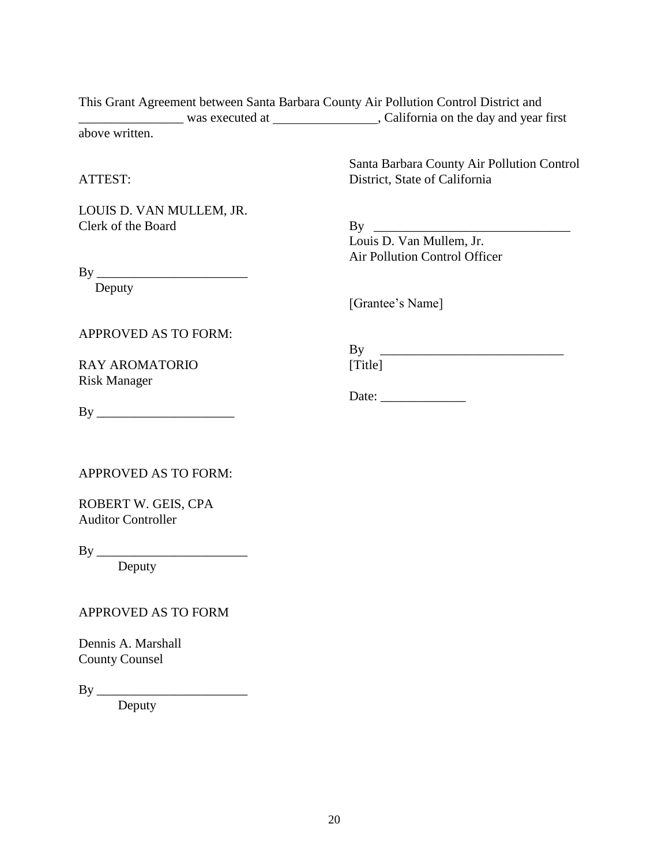This Grant Agreement between Santa Barbara County Air Pollution Control District and \_\_\_\_\_\_\_\_\_\_\_\_\_\_\_\_ was executed at , California on the day and year first above written.

#### ATTEST:

LOUIS D. VAN MULLEM, JR. Clerk of the Board

Santa Barbara County Air Pollution Control District, State of California

 $By \_\_$ 

Louis D. Van Mullem, Jr. Air Pollution Control Officer

By \_\_\_\_\_\_\_\_\_\_\_\_\_\_\_\_\_\_\_\_\_\_\_

Deputy

[Grantee's Name]

Date: \_\_\_\_\_\_\_\_\_\_\_\_\_

APPROVED AS TO FORM:

RAY AROMATORIO Risk Manager

By \_\_\_\_\_\_\_\_\_\_\_\_\_\_\_\_\_\_\_\_\_\_\_\_\_\_\_\_ [Title]

By \_\_\_\_\_\_\_\_\_\_\_\_\_\_\_\_\_\_\_\_\_

APPROVED AS TO FORM:

ROBERT W. GEIS, CPA Auditor Controller

By \_\_\_\_\_\_\_\_\_\_\_\_\_\_\_\_\_\_\_\_\_\_\_

Deputy

## APPROVED AS TO FORM

Dennis A. Marshall County Counsel

By \_\_\_\_\_\_\_\_\_\_\_\_\_\_\_\_\_\_\_\_\_\_\_

Deputy

20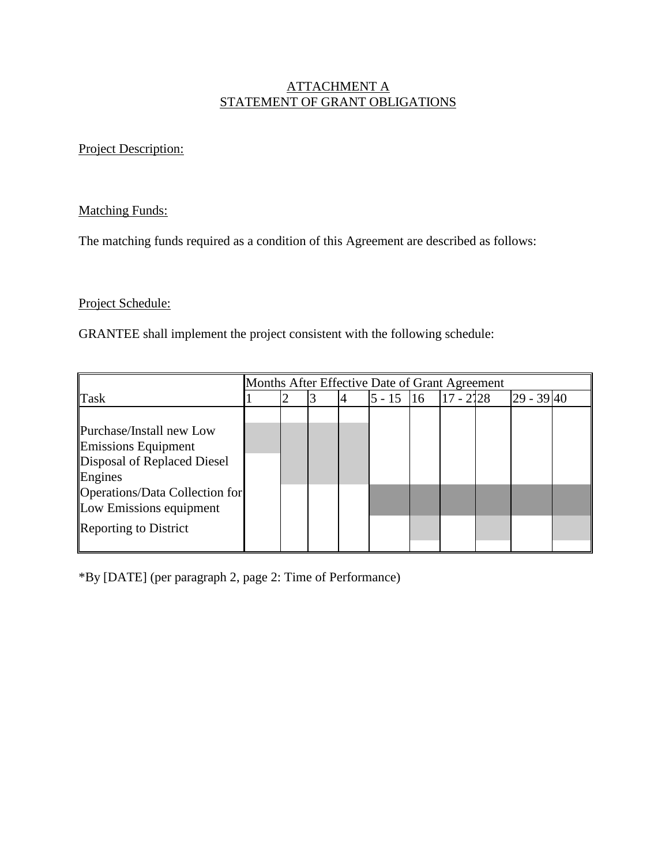## ATTACHMENT A STATEMENT OF GRANT OBLIGATIONS

## Project Description:

## Matching Funds:

The matching funds required as a condition of this Agreement are described as follows:

## Project Schedule:

GRANTEE shall implement the project consistent with the following schedule:

|                                                                                                                                                                                        | Months After Effective Date of Grant Agreement |  |  |  |          |               |             |  |            |  |  |
|----------------------------------------------------------------------------------------------------------------------------------------------------------------------------------------|------------------------------------------------|--|--|--|----------|---------------|-------------|--|------------|--|--|
| Task                                                                                                                                                                                   |                                                |  |  |  | $5 - 15$ | <sup>16</sup> | $17 - 2128$ |  | 29 - 39 40 |  |  |
| Purchase/Install new Low<br><b>Emissions Equipment</b><br>Disposal of Replaced Diesel<br>Engines<br>Operations/Data Collection for<br>Low Emissions equipment<br>Reporting to District |                                                |  |  |  |          |               |             |  |            |  |  |

\*By [DATE] (per paragraph 2, page 2: Time of Performance)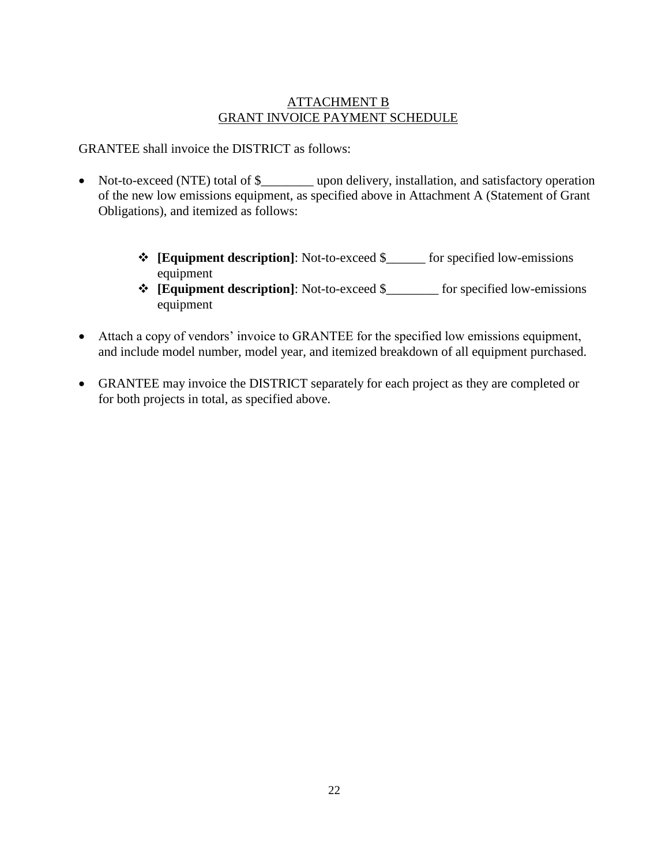## ATTACHMENT B GRANT INVOICE PAYMENT SCHEDULE

GRANTEE shall invoice the DISTRICT as follows:

- Not-to-exceed (NTE) total of \$\_\_\_\_\_\_\_\_ upon delivery, installation, and satisfactory operation of the new low emissions equipment, as specified above in Attachment A (Statement of Grant Obligations), and itemized as follows:
	- **[Equipment description]**: Not-to-exceed \$\_\_\_\_\_\_ for specified low-emissions equipment
	- **[Equipment description]**: Not-to-exceed \$\_\_\_\_\_\_\_\_ for specified low-emissions equipment
- Attach a copy of vendors' invoice to GRANTEE for the specified low emissions equipment, and include model number, model year, and itemized breakdown of all equipment purchased.
- GRANTEE may invoice the DISTRICT separately for each project as they are completed or for both projects in total, as specified above.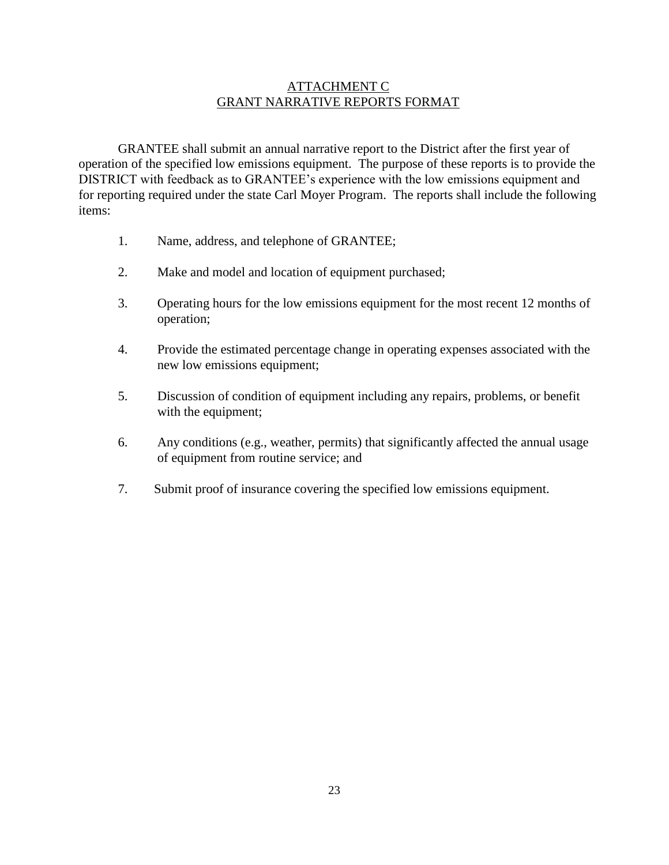## ATTACHMENT C GRANT NARRATIVE REPORTS FORMAT

GRANTEE shall submit an annual narrative report to the District after the first year of operation of the specified low emissions equipment. The purpose of these reports is to provide the DISTRICT with feedback as to GRANTEE's experience with the low emissions equipment and for reporting required under the state Carl Moyer Program. The reports shall include the following items:

- 1. Name, address, and telephone of GRANTEE;
- 2. Make and model and location of equipment purchased;
- 3. Operating hours for the low emissions equipment for the most recent 12 months of operation;
- 4. Provide the estimated percentage change in operating expenses associated with the new low emissions equipment;
- 5. Discussion of condition of equipment including any repairs, problems, or benefit with the equipment;
- 6. Any conditions (e.g., weather, permits) that significantly affected the annual usage of equipment from routine service; and
- 7. Submit proof of insurance covering the specified low emissions equipment.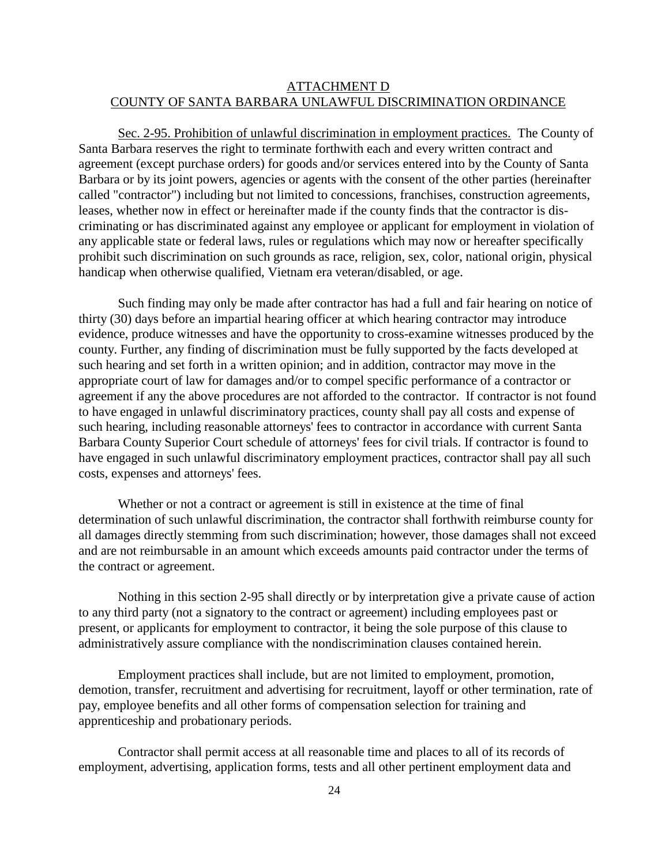## ATTACHMENT D COUNTY OF SANTA BARBARA UNLAWFUL DISCRIMINATION ORDINANCE

Sec. 2-95. Prohibition of unlawful discrimination in employment practices. The County of Santa Barbara reserves the right to terminate forthwith each and every written contract and agreement (except purchase orders) for goods and/or services entered into by the County of Santa Barbara or by its joint powers, agencies or agents with the consent of the other parties (hereinafter called "contractor") including but not limited to concessions, franchises, construction agreements, leases, whether now in effect or hereinafter made if the county finds that the contractor is discriminating or has discriminated against any employee or applicant for employment in violation of any applicable state or federal laws, rules or regulations which may now or hereafter specifically prohibit such discrimination on such grounds as race, religion, sex, color, national origin, physical handicap when otherwise qualified, Vietnam era veteran/disabled, or age.

Such finding may only be made after contractor has had a full and fair hearing on notice of thirty (30) days before an impartial hearing officer at which hearing contractor may introduce evidence, produce witnesses and have the opportunity to cross-examine witnesses produced by the county. Further, any finding of discrimination must be fully supported by the facts developed at such hearing and set forth in a written opinion; and in addition, contractor may move in the appropriate court of law for damages and/or to compel specific performance of a contractor or agreement if any the above procedures are not afforded to the contractor. If contractor is not found to have engaged in unlawful discriminatory practices, county shall pay all costs and expense of such hearing, including reasonable attorneys' fees to contractor in accordance with current Santa Barbara County Superior Court schedule of attorneys' fees for civil trials. If contractor is found to have engaged in such unlawful discriminatory employment practices, contractor shall pay all such costs, expenses and attorneys' fees.

Whether or not a contract or agreement is still in existence at the time of final determination of such unlawful discrimination, the contractor shall forthwith reimburse county for all damages directly stemming from such discrimination; however, those damages shall not exceed and are not reimbursable in an amount which exceeds amounts paid contractor under the terms of the contract or agreement.

Nothing in this section 2-95 shall directly or by interpretation give a private cause of action to any third party (not a signatory to the contract or agreement) including employees past or present, or applicants for employment to contractor, it being the sole purpose of this clause to administratively assure compliance with the nondiscrimination clauses contained herein.

Employment practices shall include, but are not limited to employment, promotion, demotion, transfer, recruitment and advertising for recruitment, layoff or other termination, rate of pay, employee benefits and all other forms of compensation selection for training and apprenticeship and probationary periods.

Contractor shall permit access at all reasonable time and places to all of its records of employment, advertising, application forms, tests and all other pertinent employment data and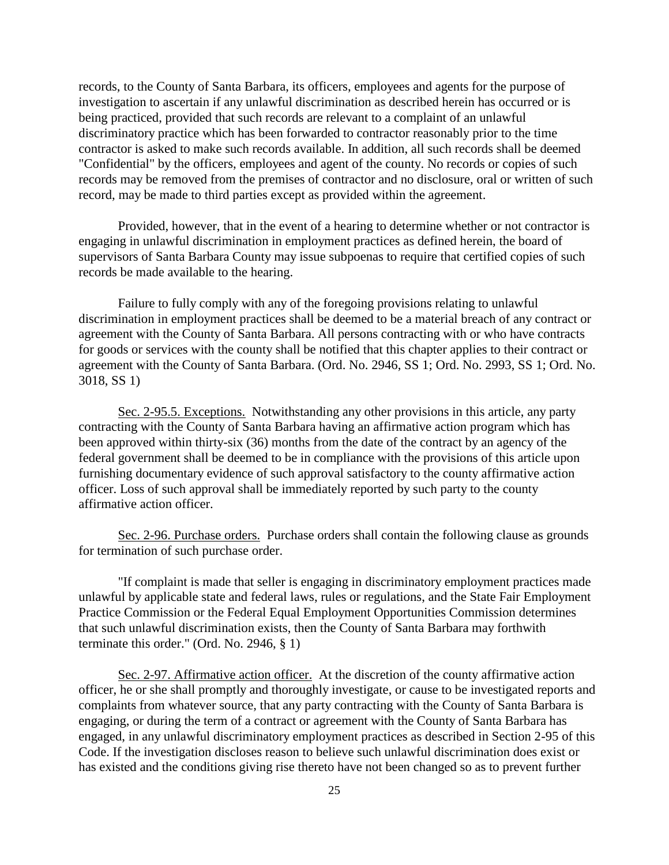records, to the County of Santa Barbara, its officers, employees and agents for the purpose of investigation to ascertain if any unlawful discrimination as described herein has occurred or is being practiced, provided that such records are relevant to a complaint of an unlawful discriminatory practice which has been forwarded to contractor reasonably prior to the time contractor is asked to make such records available. In addition, all such records shall be deemed "Confidential" by the officers, employees and agent of the county. No records or copies of such records may be removed from the premises of contractor and no disclosure, oral or written of such record, may be made to third parties except as provided within the agreement.

Provided, however, that in the event of a hearing to determine whether or not contractor is engaging in unlawful discrimination in employment practices as defined herein, the board of supervisors of Santa Barbara County may issue subpoenas to require that certified copies of such records be made available to the hearing.

Failure to fully comply with any of the foregoing provisions relating to unlawful discrimination in employment practices shall be deemed to be a material breach of any contract or agreement with the County of Santa Barbara. All persons contracting with or who have contracts for goods or services with the county shall be notified that this chapter applies to their contract or agreement with the County of Santa Barbara. (Ord. No. 2946, SS 1; Ord. No. 2993, SS 1; Ord. No. 3018, SS 1)

Sec. 2-95.5. Exceptions. Notwithstanding any other provisions in this article, any party contracting with the County of Santa Barbara having an affirmative action program which has been approved within thirty-six (36) months from the date of the contract by an agency of the federal government shall be deemed to be in compliance with the provisions of this article upon furnishing documentary evidence of such approval satisfactory to the county affirmative action officer. Loss of such approval shall be immediately reported by such party to the county affirmative action officer.

Sec. 2-96. Purchase orders. Purchase orders shall contain the following clause as grounds for termination of such purchase order.

"If complaint is made that seller is engaging in discriminatory employment practices made unlawful by applicable state and federal laws, rules or regulations, and the State Fair Employment Practice Commission or the Federal Equal Employment Opportunities Commission determines that such unlawful discrimination exists, then the County of Santa Barbara may forthwith terminate this order." (Ord. No. 2946, § 1)

Sec. 2-97. Affirmative action officer. At the discretion of the county affirmative action officer, he or she shall promptly and thoroughly investigate, or cause to be investigated reports and complaints from whatever source, that any party contracting with the County of Santa Barbara is engaging, or during the term of a contract or agreement with the County of Santa Barbara has engaged, in any unlawful discriminatory employment practices as described in Section 2-95 of this Code. If the investigation discloses reason to believe such unlawful discrimination does exist or has existed and the conditions giving rise thereto have not been changed so as to prevent further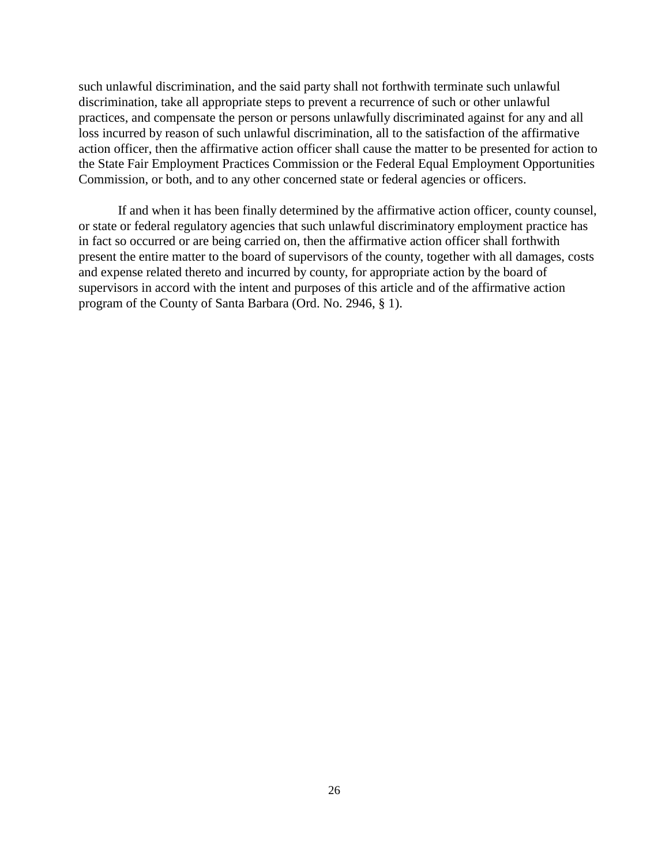such unlawful discrimination, and the said party shall not forthwith terminate such unlawful discrimination, take all appropriate steps to prevent a recurrence of such or other unlawful practices, and compensate the person or persons unlawfully discriminated against for any and all loss incurred by reason of such unlawful discrimination, all to the satisfaction of the affirmative action officer, then the affirmative action officer shall cause the matter to be presented for action to the State Fair Employment Practices Commission or the Federal Equal Employment Opportunities Commission, or both, and to any other concerned state or federal agencies or officers.

If and when it has been finally determined by the affirmative action officer, county counsel, or state or federal regulatory agencies that such unlawful discriminatory employment practice has in fact so occurred or are being carried on, then the affirmative action officer shall forthwith present the entire matter to the board of supervisors of the county, together with all damages, costs and expense related thereto and incurred by county, for appropriate action by the board of supervisors in accord with the intent and purposes of this article and of the affirmative action program of the County of Santa Barbara (Ord. No. 2946, § 1).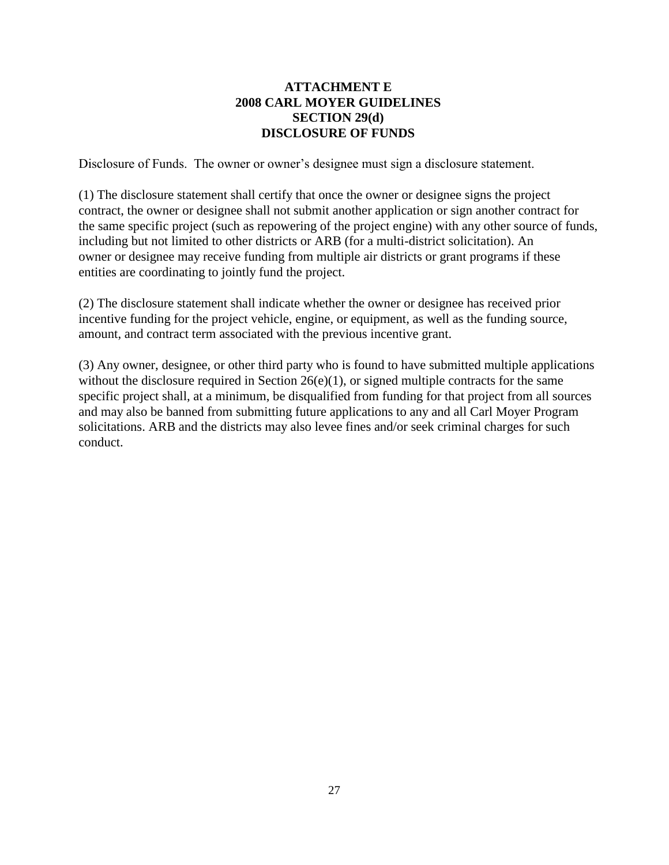## **ATTACHMENT E 2008 CARL MOYER GUIDELINES SECTION 29(d) DISCLOSURE OF FUNDS**

Disclosure of Funds. The owner or owner's designee must sign a disclosure statement.

(1) The disclosure statement shall certify that once the owner or designee signs the project contract, the owner or designee shall not submit another application or sign another contract for the same specific project (such as repowering of the project engine) with any other source of funds, including but not limited to other districts or ARB (for a multi-district solicitation). An owner or designee may receive funding from multiple air districts or grant programs if these entities are coordinating to jointly fund the project.

(2) The disclosure statement shall indicate whether the owner or designee has received prior incentive funding for the project vehicle, engine, or equipment, as well as the funding source, amount, and contract term associated with the previous incentive grant.

(3) Any owner, designee, or other third party who is found to have submitted multiple applications without the disclosure required in Section  $26(e)(1)$ , or signed multiple contracts for the same specific project shall, at a minimum, be disqualified from funding for that project from all sources and may also be banned from submitting future applications to any and all Carl Moyer Program solicitations. ARB and the districts may also levee fines and/or seek criminal charges for such conduct.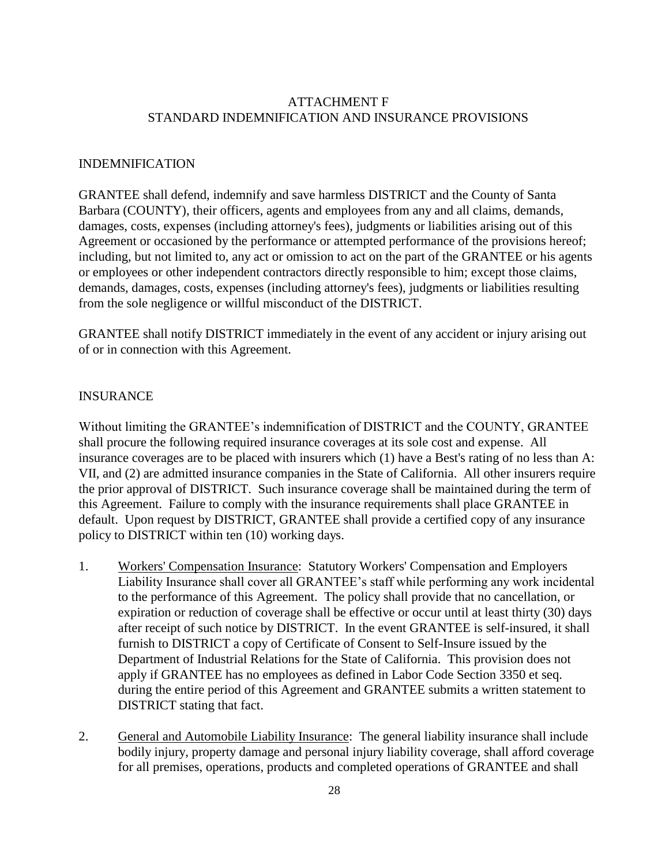## ATTACHMENT F STANDARD INDEMNIFICATION AND INSURANCE PROVISIONS

#### INDEMNIFICATION

GRANTEE shall defend, indemnify and save harmless DISTRICT and the County of Santa Barbara (COUNTY), their officers, agents and employees from any and all claims, demands, damages, costs, expenses (including attorney's fees), judgments or liabilities arising out of this Agreement or occasioned by the performance or attempted performance of the provisions hereof; including, but not limited to, any act or omission to act on the part of the GRANTEE or his agents or employees or other independent contractors directly responsible to him; except those claims, demands, damages, costs, expenses (including attorney's fees), judgments or liabilities resulting from the sole negligence or willful misconduct of the DISTRICT.

GRANTEE shall notify DISTRICT immediately in the event of any accident or injury arising out of or in connection with this Agreement.

#### INSURANCE

Without limiting the GRANTEE's indemnification of DISTRICT and the COUNTY, GRANTEE shall procure the following required insurance coverages at its sole cost and expense. All insurance coverages are to be placed with insurers which (1) have a Best's rating of no less than A: VII, and (2) are admitted insurance companies in the State of California. All other insurers require the prior approval of DISTRICT. Such insurance coverage shall be maintained during the term of this Agreement. Failure to comply with the insurance requirements shall place GRANTEE in default. Upon request by DISTRICT, GRANTEE shall provide a certified copy of any insurance policy to DISTRICT within ten (10) working days.

- 1. Workers' Compensation Insurance: Statutory Workers' Compensation and Employers Liability Insurance shall cover all GRANTEE's staff while performing any work incidental to the performance of this Agreement. The policy shall provide that no cancellation, or expiration or reduction of coverage shall be effective or occur until at least thirty (30) days after receipt of such notice by DISTRICT. In the event GRANTEE is self-insured, it shall furnish to DISTRICT a copy of Certificate of Consent to Self-Insure issued by the Department of Industrial Relations for the State of California. This provision does not apply if GRANTEE has no employees as defined in Labor Code Section 3350 et seq. during the entire period of this Agreement and GRANTEE submits a written statement to DISTRICT stating that fact.
- 2. General and Automobile Liability Insurance: The general liability insurance shall include bodily injury, property damage and personal injury liability coverage, shall afford coverage for all premises, operations, products and completed operations of GRANTEE and shall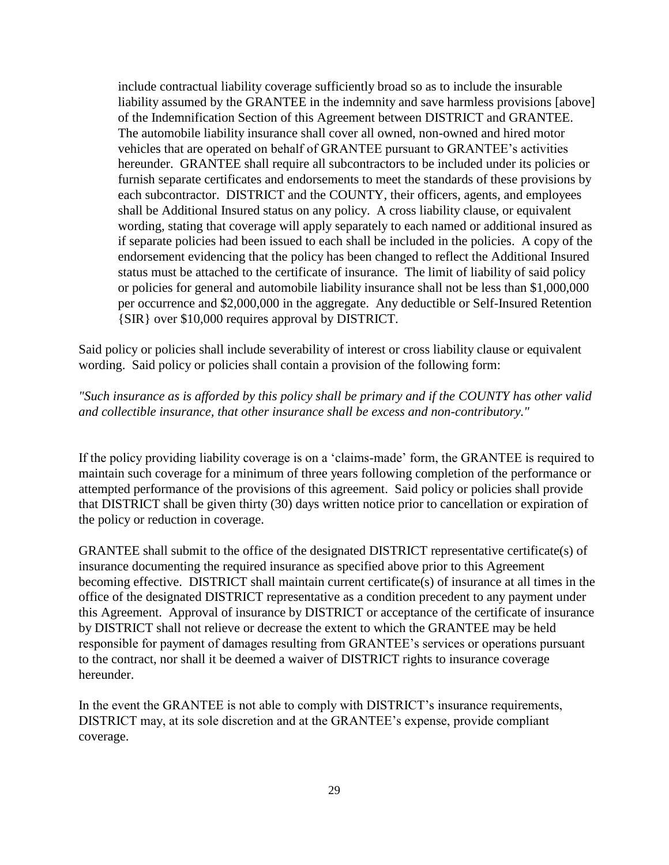include contractual liability coverage sufficiently broad so as to include the insurable liability assumed by the GRANTEE in the indemnity and save harmless provisions [above] of the Indemnification Section of this Agreement between DISTRICT and GRANTEE. The automobile liability insurance shall cover all owned, non-owned and hired motor vehicles that are operated on behalf of GRANTEE pursuant to GRANTEE's activities hereunder. GRANTEE shall require all subcontractors to be included under its policies or furnish separate certificates and endorsements to meet the standards of these provisions by each subcontractor. DISTRICT and the COUNTY, their officers, agents, and employees shall be Additional Insured status on any policy. A cross liability clause, or equivalent wording, stating that coverage will apply separately to each named or additional insured as if separate policies had been issued to each shall be included in the policies. A copy of the endorsement evidencing that the policy has been changed to reflect the Additional Insured status must be attached to the certificate of insurance. The limit of liability of said policy or policies for general and automobile liability insurance shall not be less than \$1,000,000 per occurrence and \$2,000,000 in the aggregate. Any deductible or Self-Insured Retention {SIR} over \$10,000 requires approval by DISTRICT.

Said policy or policies shall include severability of interest or cross liability clause or equivalent wording. Said policy or policies shall contain a provision of the following form:

## *"Such insurance as is afforded by this policy shall be primary and if the COUNTY has other valid and collectible insurance, that other insurance shall be excess and non-contributory."*

If the policy providing liability coverage is on a 'claims-made' form, the GRANTEE is required to maintain such coverage for a minimum of three years following completion of the performance or attempted performance of the provisions of this agreement. Said policy or policies shall provide that DISTRICT shall be given thirty (30) days written notice prior to cancellation or expiration of the policy or reduction in coverage.

GRANTEE shall submit to the office of the designated DISTRICT representative certificate(s) of insurance documenting the required insurance as specified above prior to this Agreement becoming effective. DISTRICT shall maintain current certificate(s) of insurance at all times in the office of the designated DISTRICT representative as a condition precedent to any payment under this Agreement. Approval of insurance by DISTRICT or acceptance of the certificate of insurance by DISTRICT shall not relieve or decrease the extent to which the GRANTEE may be held responsible for payment of damages resulting from GRANTEE's services or operations pursuant to the contract, nor shall it be deemed a waiver of DISTRICT rights to insurance coverage hereunder.

In the event the GRANTEE is not able to comply with DISTRICT's insurance requirements, DISTRICT may, at its sole discretion and at the GRANTEE's expense, provide compliant coverage.